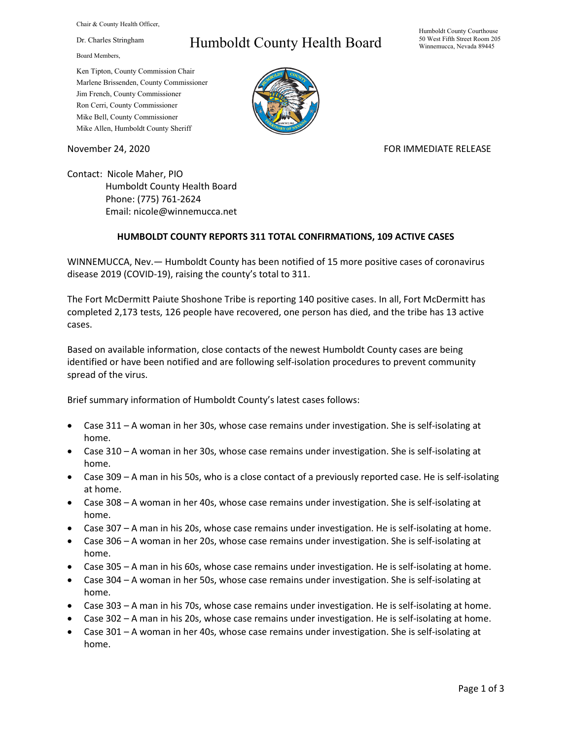Chair & County Health Officer,

Dr. Charles Stringham

Board Members,

## Humboldt County Health Board

Humboldt County Courthouse 50 West Fifth Street Room 205 Winnemucca, Nevada 89445

Ken Tipton, County Commission Chair Marlene Brissenden, County Commissioner Jim French, County Commissioner Ron Cerri, County Commissioner Mike Bell, County Commissioner Mike Allen, Humboldt County Sheriff

November 24, 2020 **FOR IMMEDIATE RELEASE** 

Contact: Nicole Maher, PIO Humboldt County Health Board Phone: (775) 761-2624 Email: nicole@winnemucca.net

## **HUMBOLDT COUNTY REPORTS 311 TOTAL CONFIRMATIONS, 109 ACTIVE CASES**

WINNEMUCCA, Nev.— Humboldt County has been notified of 15 more positive cases of coronavirus disease 2019 (COVID-19), raising the county's total to 311.

The Fort McDermitt Paiute Shoshone Tribe is reporting 140 positive cases. In all, Fort McDermitt has completed 2,173 tests, 126 people have recovered, one person has died, and the tribe has 13 active cases.

Based on available information, close contacts of the newest Humboldt County cases are being identified or have been notified and are following self-isolation procedures to prevent community spread of the virus.

Brief summary information of Humboldt County's latest cases follows:

- Case 311 A woman in her 30s, whose case remains under investigation. She is self-isolating at home.
- Case 310 A woman in her 30s, whose case remains under investigation. She is self-isolating at home.
- Case 309 A man in his 50s, who is a close contact of a previously reported case. He is self-isolating at home.
- Case 308 A woman in her 40s, whose case remains under investigation. She is self-isolating at home.
- Case 307 A man in his 20s, whose case remains under investigation. He is self-isolating at home.
- Case 306 A woman in her 20s, whose case remains under investigation. She is self-isolating at home.
- Case 305 A man in his 60s, whose case remains under investigation. He is self-isolating at home.
- Case 304 A woman in her 50s, whose case remains under investigation. She is self-isolating at home.
- Case 303 A man in his 70s, whose case remains under investigation. He is self-isolating at home.
- Case 302 A man in his 20s, whose case remains under investigation. He is self-isolating at home.
- Case 301 A woman in her 40s, whose case remains under investigation. She is self-isolating at home.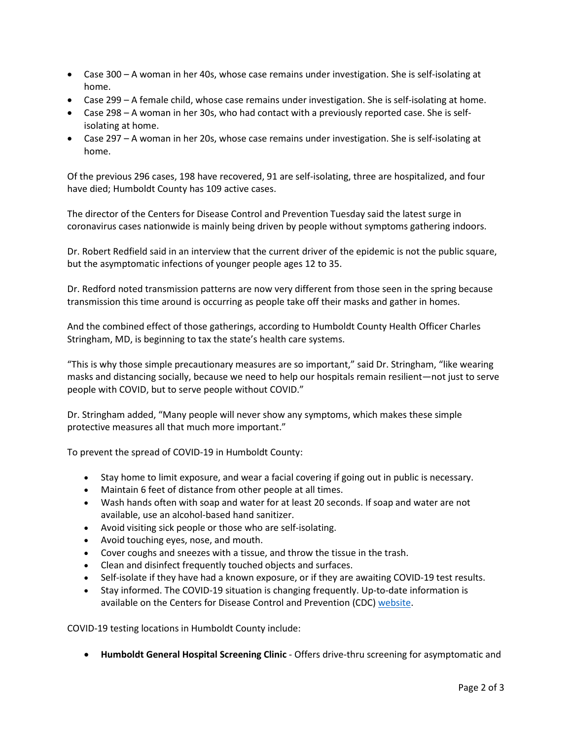- Case 300 A woman in her 40s, whose case remains under investigation. She is self-isolating at home.
- Case 299 A female child, whose case remains under investigation. She is self-isolating at home.
- Case 298 A woman in her 30s, who had contact with a previously reported case. She is selfisolating at home.
- Case 297 A woman in her 20s, whose case remains under investigation. She is self-isolating at home.

Of the previous 296 cases, 198 have recovered, 91 are self-isolating, three are hospitalized, and four have died; Humboldt County has 109 active cases.

The director of the Centers for Disease Control and Prevention Tuesday said the latest surge in coronavirus cases nationwide is mainly being driven by people without symptoms gathering indoors.

Dr. Robert Redfield said in an interview that the current driver of the epidemic is not the public square, but the asymptomatic infections of younger people ages 12 to 35.

Dr. Redford noted transmission patterns are now very different from those seen in the spring because transmission this time around is occurring as people take off their masks and gather in homes.

And the combined effect of those gatherings, according to Humboldt County Health Officer Charles Stringham, MD, is beginning to tax the state's health care systems.

"This is why those simple precautionary measures are so important," said Dr. Stringham, "like wearing masks and distancing socially, because we need to help our hospitals remain resilient—not just to serve people with COVID, but to serve people without COVID."

Dr. Stringham added, "Many people will never show any symptoms, which makes these simple protective measures all that much more important."

To prevent the spread of COVID-19 in Humboldt County:

- Stay home to limit exposure, and wear a facial covering if going out in public is necessary.
- Maintain 6 feet of distance from other people at all times.
- Wash hands often with soap and water for at least 20 seconds. If soap and water are not available, use an alcohol-based hand sanitizer.
- Avoid visiting sick people or those who are self-isolating.
- Avoid touching eyes, nose, and mouth.
- Cover coughs and sneezes with a tissue, and throw the tissue in the trash.
- Clean and disinfect frequently touched objects and surfaces.
- Self-isolate if they have had a known exposure, or if they are awaiting COVID-19 test results.
- Stay informed. The COVID-19 situation is changing frequently. Up-to-date information is available on the Centers for Disease Control and Prevention (CDC) [website.](http://www.cdc.gov/coronavirus/2019-ncov/index.html)

COVID-19 testing locations in Humboldt County include:

• **Humboldt General Hospital Screening Clinic** - Offers drive-thru screening for asymptomatic and